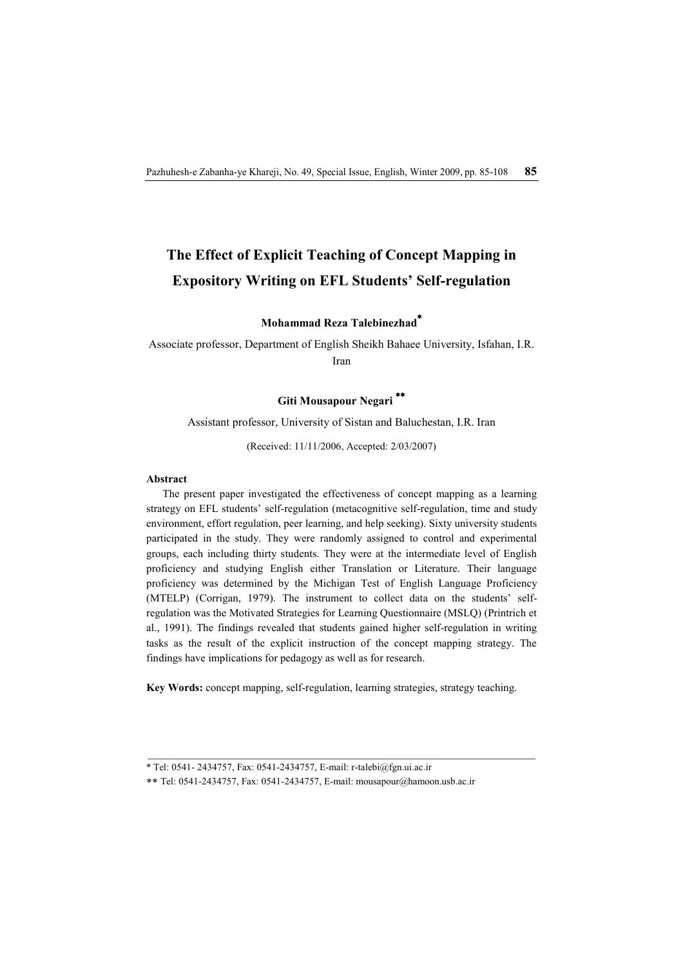# **The Effect of Explicit Teaching of Concept Mapping in Expository Writing on EFL Students' Self-regulation**

**Mohammad Reza Talebinezhad\***

Associate professor, Department of English Sheikh Bahaee University, Isfahan, I.R. Iran

# **Giti Mousapour Negari \*\***

Assistant professor, University of Sistan and Baluchestan, I.R. Iran

(Received: 11/11/2006, Accepted: 2/03/2007)

#### **Abstract**

The present paper investigated the effectiveness of concept mapping as a learning strategy on EFL students' self-regulation (metacognitive self-regulation, time and study environment, effort regulation, peer learning, and help seeking). Sixty university students participated in the study. They were randomly assigned to control and experimental groups, each including thirty students. They were at the intermediate level of English proficiency and studying English either Translation or Literature. Their language proficiency was determined by the Michigan Test of English Language Proficiency (MTELP) (Corrigan, 1979). The instrument to collect data on the students' selfregulation was the Motivated Strategies for Learning Questionnaire (MSLQ) (Printrich et al., 1991). The findings revealed that students gained higher self-regulation in writing tasks as the result of the explicit instruction of the concept mapping strategy. The findings have implications for pedagogy as well as for research.

**Key Words:** concept mapping, self-regulation, learning strategies, strategy teaching.

<sup>\*</sup> Tel: 0541- 2434757, Fax: 0541-2434757, E-mail: r-talebi@fgn.ui.ac.ir

<sup>\*\*</sup> Tel: 0541-2434757, Fax: 0541-2434757, E-mail: mousapour@hamoon.usb.ac.ir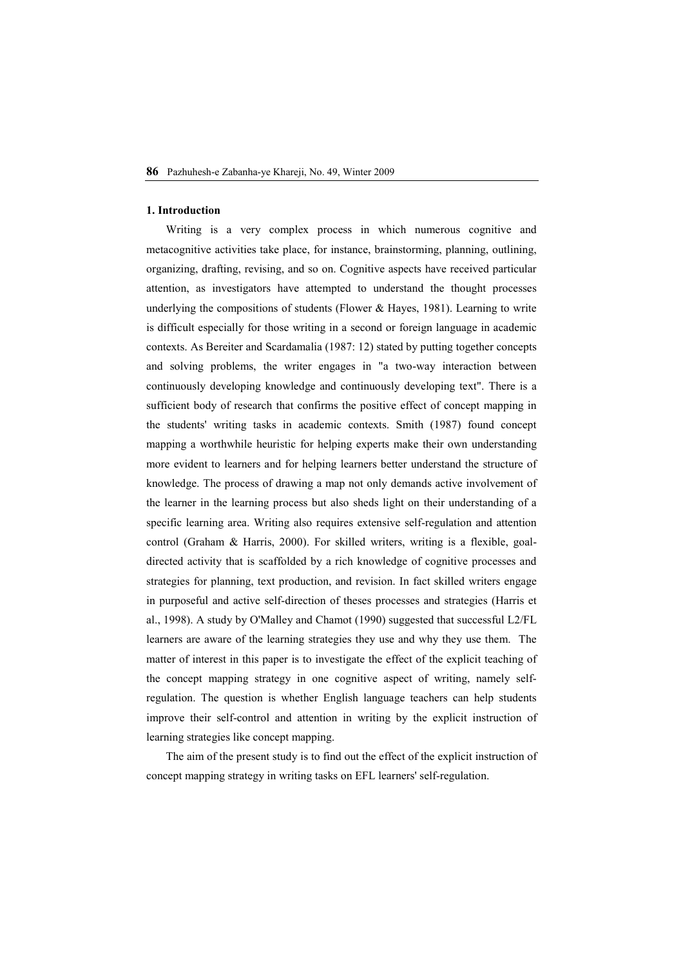#### **1. Introduction**

Writing is a very complex process in which numerous cognitive and metacognitive activities take place, for instance, brainstorming, planning, outlining, organizing, drafting, revising, and so on. Cognitive aspects have received particular attention, as investigators have attempted to understand the thought processes underlying the compositions of students (Flower & Hayes, 1981). Learning to write is difficult especially for those writing in a second or foreign language in academic contexts. As Bereiter and Scardamalia (1987: 12) stated by putting together concepts and solving problems, the writer engages in "a two-way interaction between continuously developing knowledge and continuously developing text". There is a sufficient body of research that confirms the positive effect of concept mapping in the students' writing tasks in academic contexts. Smith (1987) found concept mapping a worthwhile heuristic for helping experts make their own understanding more evident to learners and for helping learners better understand the structure of knowledge. The process of drawing a map not only demands active involvement of the learner in the learning process but also sheds light on their understanding of a specific learning area. Writing also requires extensive self-regulation and attention control (Graham & Harris, 2000). For skilled writers, writing is a flexible, goaldirected activity that is scaffolded by a rich knowledge of cognitive processes and strategies for planning, text production, and revision. In fact skilled writers engage in purposeful and active self-direction of theses processes and strategies (Harris et al., 1998). A study by O'Malley and Chamot (1990) suggested that successful L2/FL learners are aware of the learning strategies they use and why they use them. The matter of interest in this paper is to investigate the effect of the explicit teaching of the concept mapping strategy in one cognitive aspect of writing, namely selfregulation. The question is whether English language teachers can help students improve their self-control and attention in writing by the explicit instruction of learning strategies like concept mapping.

The aim of the present study is to find out the effect of the explicit instruction of concept mapping strategy in writing tasks on EFL learners' self-regulation.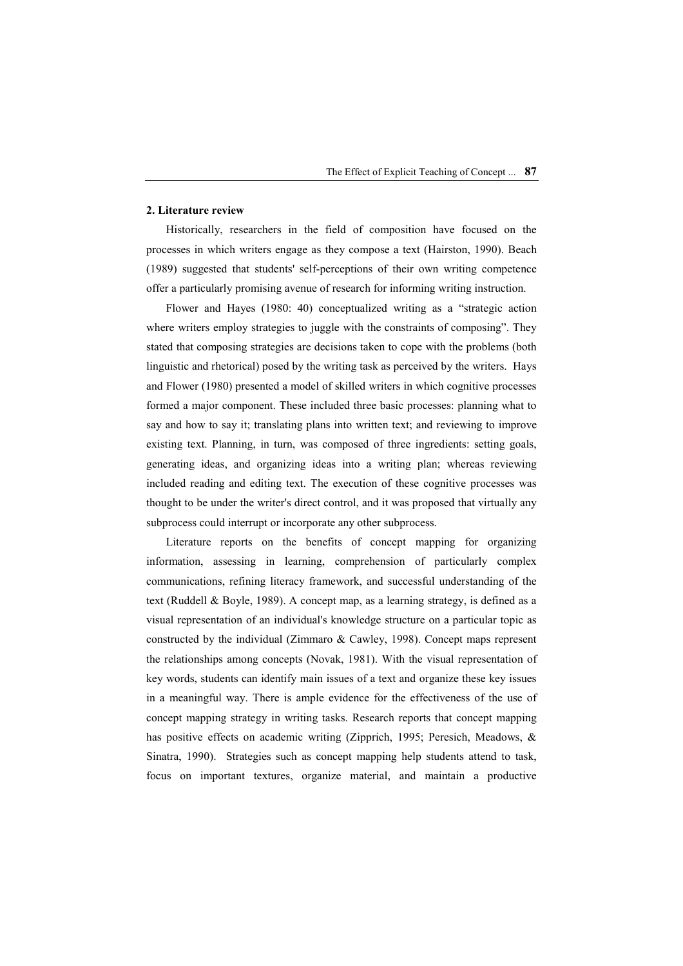## **2. Literature review**

Historically, researchers in the field of composition have focused on the processes in which writers engage as they compose a text (Hairston, 1990). Beach (1989) suggested that students' self-perceptions of their own writing competence offer a particularly promising avenue of research for informing writing instruction.

Flower and Hayes (1980: 40) conceptualized writing as a "strategic action where writers employ strategies to juggle with the constraints of composing". They stated that composing strategies are decisions taken to cope with the problems (both linguistic and rhetorical) posed by the writing task as perceived by the writers. Hays and Flower (1980) presented a model of skilled writers in which cognitive processes formed a major component. These included three basic processes: planning what to say and how to say it; translating plans into written text; and reviewing to improve existing text. Planning, in turn, was composed of three ingredients: setting goals, generating ideas, and organizing ideas into a writing plan; whereas reviewing included reading and editing text. The execution of these cognitive processes was thought to be under the writer's direct control, and it was proposed that virtually any subprocess could interrupt or incorporate any other subprocess.

Literature reports on the benefits of concept mapping for organizing information, assessing in learning, comprehension of particularly complex communications, refining literacy framework, and successful understanding of the text (Ruddell & Boyle, 1989). A concept map, as a learning strategy, is defined as a visual representation of an individual's knowledge structure on a particular topic as constructed by the individual (Zimmaro & Cawley, 1998). Concept maps represent the relationships among concepts (Novak, 1981). With the visual representation of key words, students can identify main issues of a text and organize these key issues in a meaningful way. There is ample evidence for the effectiveness of the use of concept mapping strategy in writing tasks. Research reports that concept mapping has positive effects on academic writing (Zipprich, 1995; Peresich, Meadows, & Sinatra, 1990). Strategies such as concept mapping help students attend to task, focus on important textures, organize material, and maintain a productive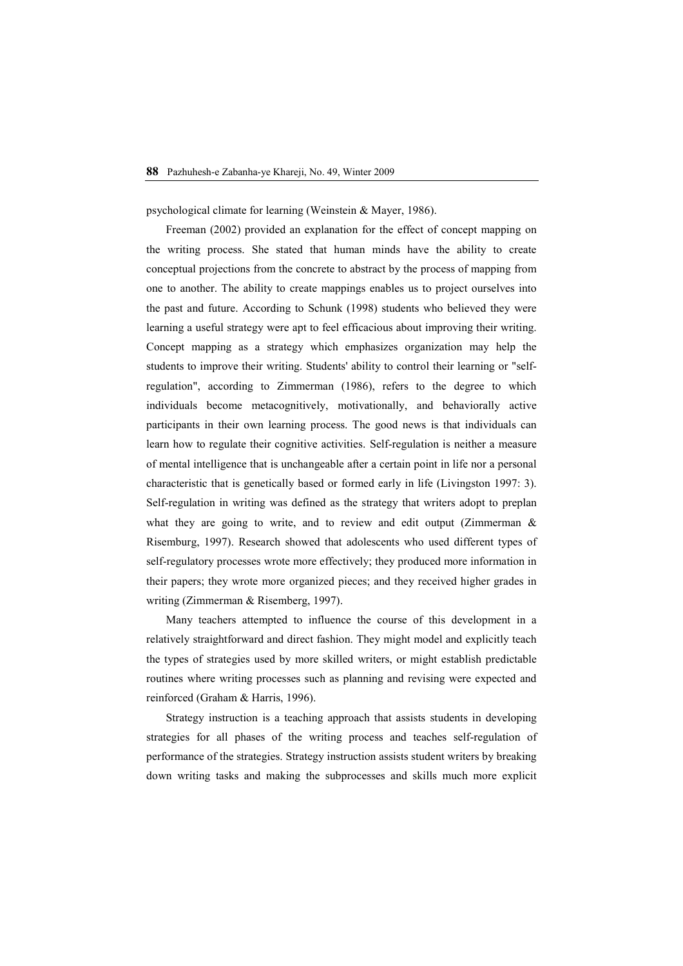psychological climate for learning (Weinstein & Mayer, 1986).

Freeman (2002) provided an explanation for the effect of concept mapping on the writing process. She stated that human minds have the ability to create conceptual projections from the concrete to abstract by the process of mapping from one to another. The ability to create mappings enables us to project ourselves into the past and future. According to Schunk (1998) students who believed they were learning a useful strategy were apt to feel efficacious about improving their writing. Concept mapping as a strategy which emphasizes organization may help the students to improve their writing. Students' ability to control their learning or "selfregulation", according to Zimmerman (1986), refers to the degree to which individuals become metacognitively, motivationally, and behaviorally active participants in their own learning process. The good news is that individuals can learn how to regulate their cognitive activities. Self-regulation is neither a measure of mental intelligence that is unchangeable after a certain point in life nor a personal characteristic that is genetically based or formed early in life (Livingston 1997: 3). Self-regulation in writing was defined as the strategy that writers adopt to preplan what they are going to write, and to review and edit output (Zimmerman & Risemburg, 1997). Research showed that adolescents who used different types of self-regulatory processes wrote more effectively; they produced more information in their papers; they wrote more organized pieces; and they received higher grades in writing (Zimmerman & Risemberg, 1997).

Many teachers attempted to influence the course of this development in a relatively straightforward and direct fashion. They might model and explicitly teach the types of strategies used by more skilled writers, or might establish predictable routines where writing processes such as planning and revising were expected and reinforced (Graham & Harris, 1996).

Strategy instruction is a teaching approach that assists students in developing strategies for all phases of the writing process and teaches self-regulation of performance of the strategies. Strategy instruction assists student writers by breaking down writing tasks and making the subprocesses and skills much more explicit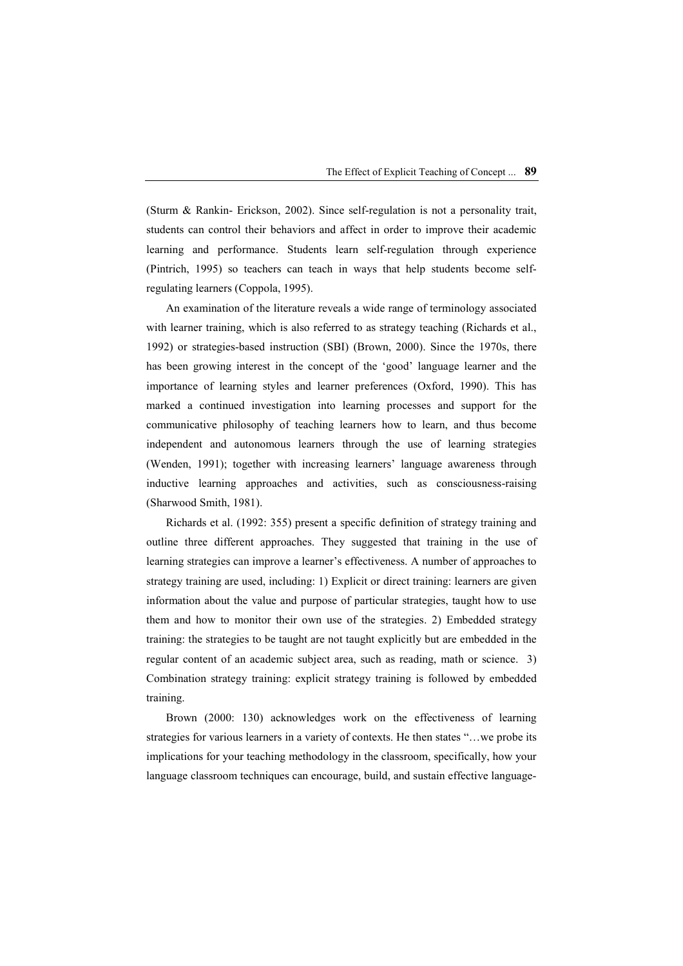(Sturm & Rankin- Erickson, 2002). Since self-regulation is not a personality trait, students can control their behaviors and affect in order to improve their academic learning and performance. Students learn self-regulation through experience (Pintrich, 1995) so teachers can teach in ways that help students become selfregulating learners (Coppola, 1995).

An examination of the literature reveals a wide range of terminology associated with learner training, which is also referred to as strategy teaching (Richards et al., 1992) or strategies-based instruction (SBI) (Brown, 2000). Since the 1970s, there has been growing interest in the concept of the 'good' language learner and the importance of learning styles and learner preferences (Oxford, 1990). This has marked a continued investigation into learning processes and support for the communicative philosophy of teaching learners how to learn, and thus become independent and autonomous learners through the use of learning strategies (Wenden, 1991); together with increasing learners' language awareness through inductive learning approaches and activities, such as consciousness-raising (Sharwood Smith, 1981).

Richards et al. (1992: 355) present a specific definition of strategy training and outline three different approaches. They suggested that training in the use of learning strategies can improve a learner's effectiveness. A number of approaches to strategy training are used, including: 1) Explicit or direct training: learners are given information about the value and purpose of particular strategies, taught how to use them and how to monitor their own use of the strategies. 2) Embedded strategy training: the strategies to be taught are not taught explicitly but are embedded in the regular content of an academic subject area, such as reading, math or science. 3) Combination strategy training: explicit strategy training is followed by embedded training.

Brown (2000: 130) acknowledges work on the effectiveness of learning strategies for various learners in a variety of contexts. He then states "…we probe its implications for your teaching methodology in the classroom, specifically, how your language classroom techniques can encourage, build, and sustain effective language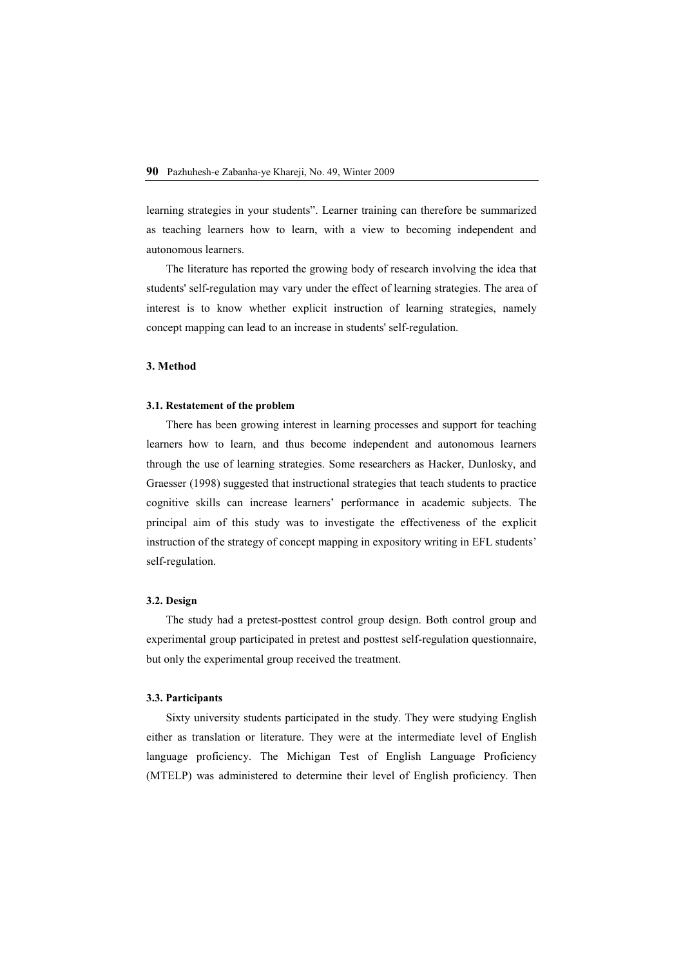learning strategies in your students". Learner training can therefore be summarized as teaching learners how to learn, with a view to becoming independent and autonomous learners.

The literature has reported the growing body of research involving the idea that students' self-regulation may vary under the effect of learning strategies. The area of interest is to know whether explicit instruction of learning strategies, namely concept mapping can lead to an increase in students' self-regulation.

#### **3. Method**

#### **3.1. Restatement of the problem**

There has been growing interest in learning processes and support for teaching learners how to learn, and thus become independent and autonomous learners through the use of learning strategies. Some researchers as Hacker, Dunlosky, and Graesser (1998) suggested that instructional strategies that teach students to practice cognitive skills can increase learners' performance in academic subjects. The principal aim of this study was to investigate the effectiveness of the explicit instruction of the strategy of concept mapping in expository writing in EFL students' self-regulation.

## **3.2. Design**

The study had a pretest-posttest control group design. Both control group and experimental group participated in pretest and posttest self-regulation questionnaire, but only the experimental group received the treatment.

#### **3.3. Participants**

Sixty university students participated in the study. They were studying English either as translation or literature. They were at the intermediate level of English language proficiency. The Michigan Test of English Language Proficiency (MTELP) was administered to determine their level of English proficiency. Then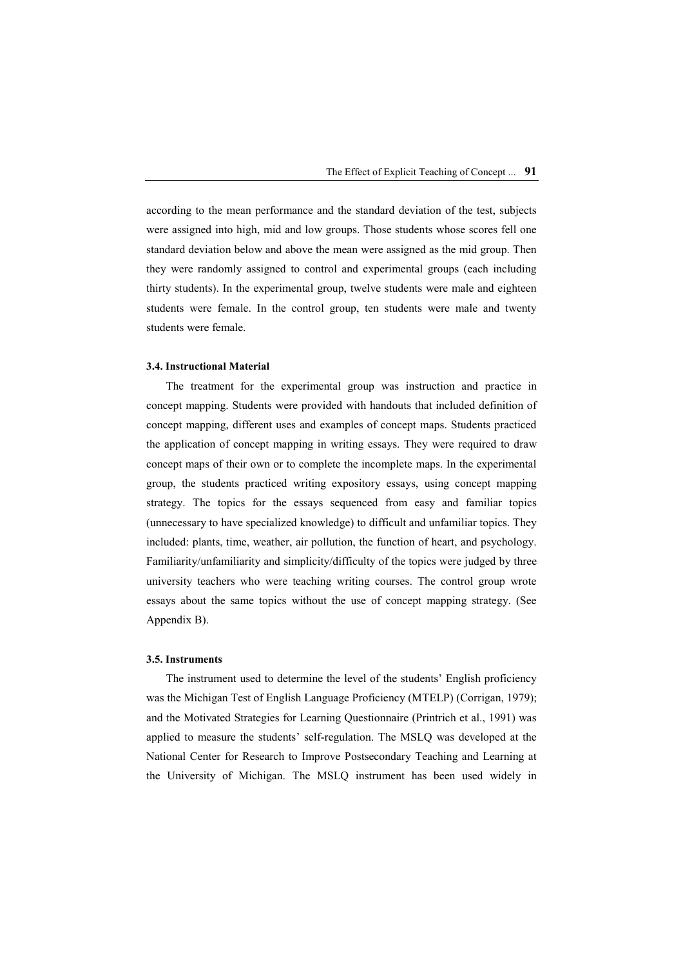according to the mean performance and the standard deviation of the test, subjects were assigned into high, mid and low groups. Those students whose scores fell one standard deviation below and above the mean were assigned as the mid group. Then they were randomly assigned to control and experimental groups (each including thirty students). In the experimental group, twelve students were male and eighteen students were female. In the control group, ten students were male and twenty students were female.

#### **3.4. Instructional Material**

The treatment for the experimental group was instruction and practice in concept mapping. Students were provided with handouts that included definition of concept mapping, different uses and examples of concept maps. Students practiced the application of concept mapping in writing essays. They were required to draw concept maps of their own or to complete the incomplete maps. In the experimental group, the students practiced writing expository essays, using concept mapping strategy. The topics for the essays sequenced from easy and familiar topics (unnecessary to have specialized knowledge) to difficult and unfamiliar topics. They included: plants, time, weather, air pollution, the function of heart, and psychology. Familiarity/unfamiliarity and simplicity/difficulty of the topics were judged by three university teachers who were teaching writing courses. The control group wrote essays about the same topics without the use of concept mapping strategy. (See Appendix B).

#### **3.5. Instruments**

The instrument used to determine the level of the students' English proficiency was the Michigan Test of English Language Proficiency (MTELP) (Corrigan, 1979); and the Motivated Strategies for Learning Questionnaire (Printrich et al., 1991) was applied to measure the students' self-regulation. The MSLQ was developed at the National Center for Research to Improve Postsecondary Teaching and Learning at the University of Michigan. The MSLQ instrument has been used widely in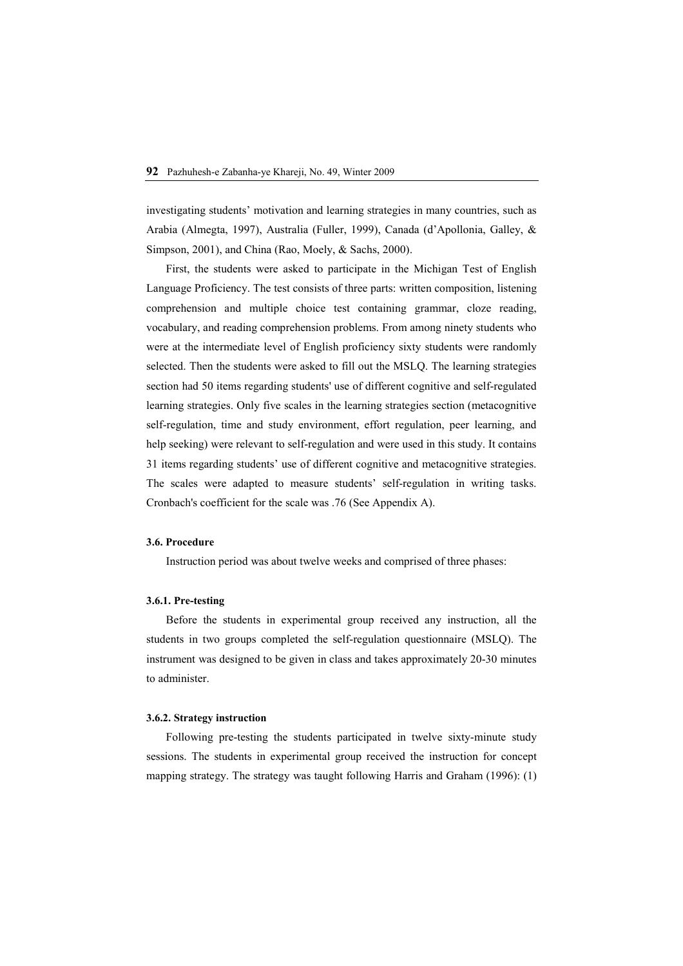investigating students' motivation and learning strategies in many countries, such as Arabia (Almegta, 1997), Australia (Fuller, 1999), Canada (d'Apollonia, Galley, & Simpson, 2001), and China (Rao, Moely, & Sachs, 2000).

First, the students were asked to participate in the Michigan Test of English Language Proficiency. The test consists of three parts: written composition, listening comprehension and multiple choice test containing grammar, cloze reading, vocabulary, and reading comprehension problems. From among ninety students who were at the intermediate level of English proficiency sixty students were randomly selected. Then the students were asked to fill out the MSLQ. The learning strategies section had 50 items regarding students' use of different cognitive and self-regulated learning strategies. Only five scales in the learning strategies section (metacognitive self-regulation, time and study environment, effort regulation, peer learning, and help seeking) were relevant to self-regulation and were used in this study. It contains 31 items regarding students' use of different cognitive and metacognitive strategies. The scales were adapted to measure students' self-regulation in writing tasks. Cronbach's coefficient for the scale was .76 (See Appendix A).

#### **3.6. Procedure**

Instruction period was about twelve weeks and comprised of three phases:

## **3.6.1. Pre-testing**

Before the students in experimental group received any instruction, all the students in two groups completed the self-regulation questionnaire (MSLQ). The instrument was designed to be given in class and takes approximately 20-30 minutes to administer.

#### **3.6.2. Strategy instruction**

Following pre-testing the students participated in twelve sixty-minute study sessions. The students in experimental group received the instruction for concept mapping strategy. The strategy was taught following Harris and Graham (1996): (1)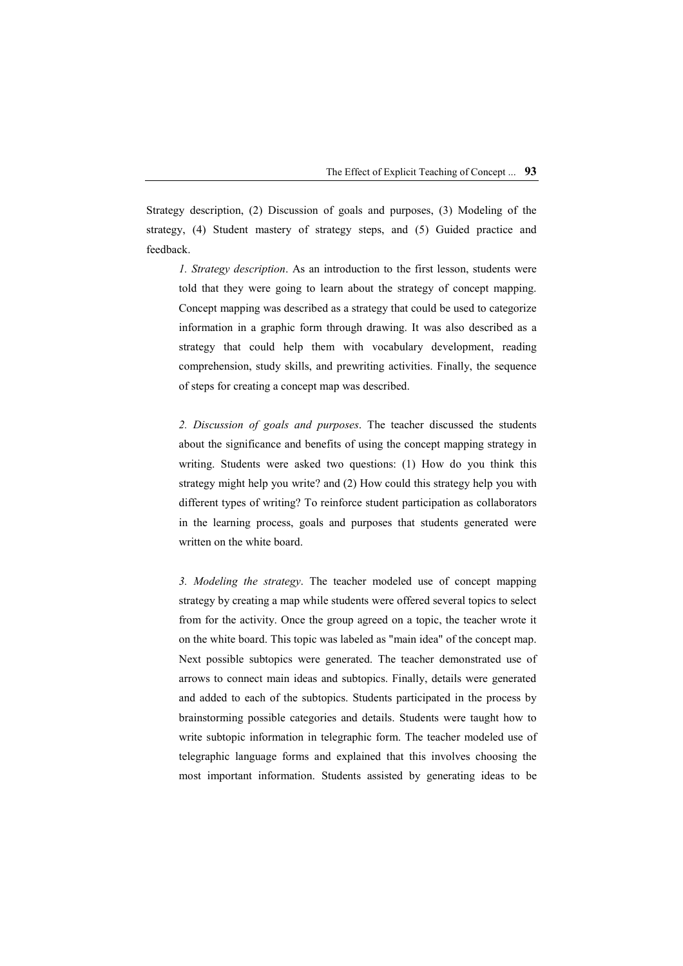Strategy description, (2) Discussion of goals and purposes, (3) Modeling of the strategy, (4) Student mastery of strategy steps, and (5) Guided practice and feedback.

*1. Strategy description*. As an introduction to the first lesson, students were told that they were going to learn about the strategy of concept mapping. Concept mapping was described as a strategy that could be used to categorize information in a graphic form through drawing. It was also described as a strategy that could help them with vocabulary development, reading comprehension, study skills, and prewriting activities. Finally, the sequence of steps for creating a concept map was described.

*2. Discussion of goals and purposes*. The teacher discussed the students about the significance and benefits of using the concept mapping strategy in writing. Students were asked two questions: (1) How do you think this strategy might help you write? and (2) How could this strategy help you with different types of writing? To reinforce student participation as collaborators in the learning process, goals and purposes that students generated were written on the white board.

*3. Modeling the strategy*. The teacher modeled use of concept mapping strategy by creating a map while students were offered several topics to select from for the activity. Once the group agreed on a topic, the teacher wrote it on the white board. This topic was labeled as "main idea" of the concept map. Next possible subtopics were generated. The teacher demonstrated use of arrows to connect main ideas and subtopics. Finally, details were generated and added to each of the subtopics. Students participated in the process by brainstorming possible categories and details. Students were taught how to write subtopic information in telegraphic form. The teacher modeled use of telegraphic language forms and explained that this involves choosing the most important information. Students assisted by generating ideas to be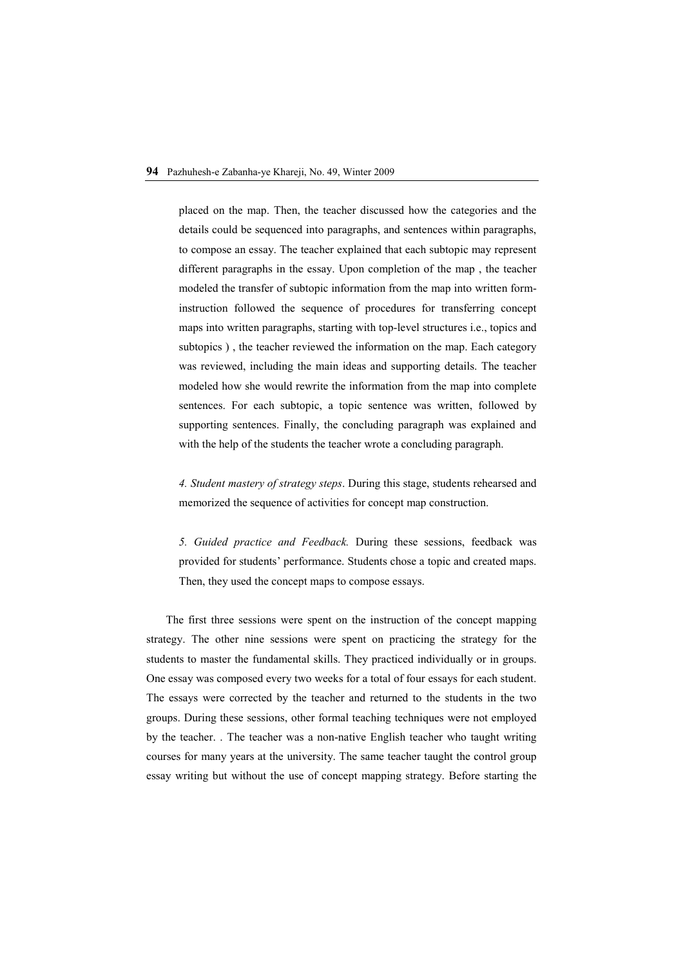placed on the map. Then, the teacher discussed how the categories and the details could be sequenced into paragraphs, and sentences within paragraphs, to compose an essay. The teacher explained that each subtopic may represent different paragraphs in the essay. Upon completion of the map , the teacher modeled the transfer of subtopic information from the map into written forminstruction followed the sequence of procedures for transferring concept maps into written paragraphs, starting with top-level structures i.e., topics and subtopics ) , the teacher reviewed the information on the map. Each category was reviewed, including the main ideas and supporting details. The teacher modeled how she would rewrite the information from the map into complete sentences. For each subtopic, a topic sentence was written, followed by supporting sentences. Finally, the concluding paragraph was explained and with the help of the students the teacher wrote a concluding paragraph.

*4. Student mastery of strategy steps*. During this stage, students rehearsed and memorized the sequence of activities for concept map construction.

*5. Guided practice and Feedback.* During these sessions, feedback was provided for students' performance. Students chose a topic and created maps. Then, they used the concept maps to compose essays.

The first three sessions were spent on the instruction of the concept mapping strategy. The other nine sessions were spent on practicing the strategy for the students to master the fundamental skills. They practiced individually or in groups. One essay was composed every two weeks for a total of four essays for each student. The essays were corrected by the teacher and returned to the students in the two groups. During these sessions, other formal teaching techniques were not employed by the teacher. . The teacher was a non-native English teacher who taught writing courses for many years at the university. The same teacher taught the control group essay writing but without the use of concept mapping strategy. Before starting the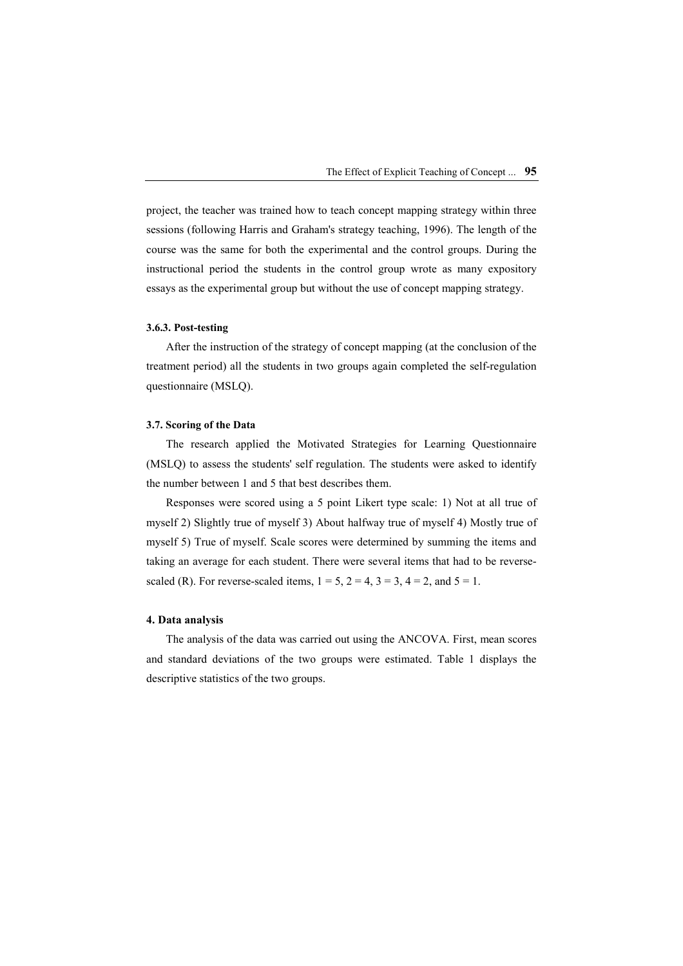project, the teacher was trained how to teach concept mapping strategy within three sessions (following Harris and Graham's strategy teaching, 1996). The length of the course was the same for both the experimental and the control groups. During the instructional period the students in the control group wrote as many expository essays as the experimental group but without the use of concept mapping strategy.

#### **3.6.3. Post-testing**

After the instruction of the strategy of concept mapping (at the conclusion of the treatment period) all the students in two groups again completed the self-regulation questionnaire (MSLQ).

#### **3.7. Scoring of the Data**

The research applied the Motivated Strategies for Learning Questionnaire (MSLQ) to assess the students' self regulation. The students were asked to identify the number between 1 and 5 that best describes them.

Responses were scored using a 5 point Likert type scale: 1) Not at all true of myself 2) Slightly true of myself 3) About halfway true of myself 4) Mostly true of myself 5) True of myself. Scale scores were determined by summing the items and taking an average for each student. There were several items that had to be reversescaled (R). For reverse-scaled items,  $1 = 5$ ,  $2 = 4$ ,  $3 = 3$ ,  $4 = 2$ , and  $5 = 1$ .

#### **4. Data analysis**

The analysis of the data was carried out using the ANCOVA. First, mean scores and standard deviations of the two groups were estimated. Table 1 displays the descriptive statistics of the two groups.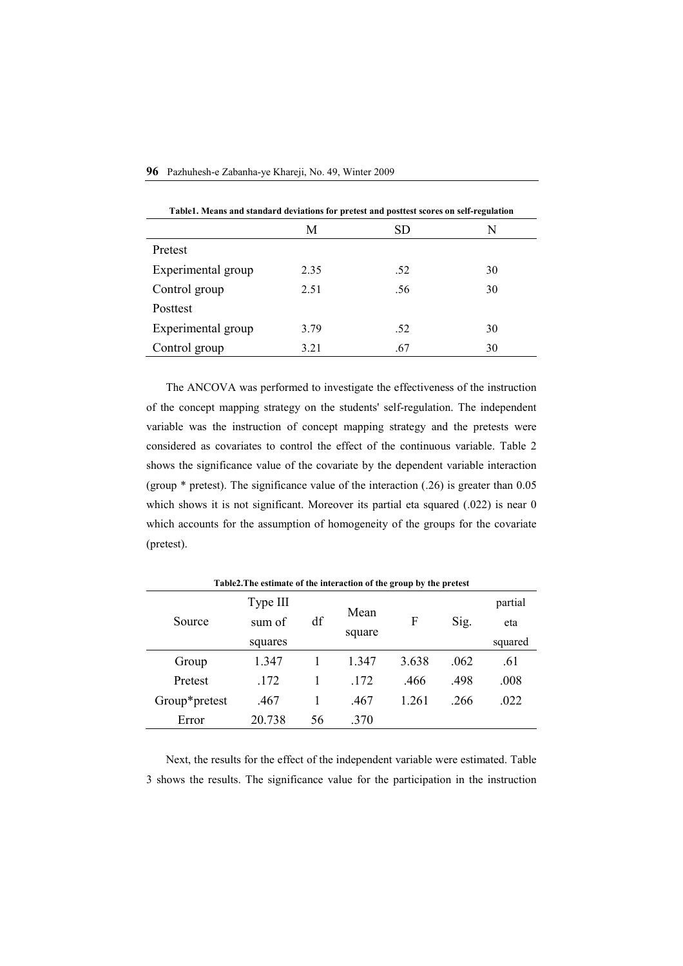|  | 96 Pazhuhesh-e Zabanha-ye Khareji, No. 49, Winter 2009 |  |  |  |  |  |  |
|--|--------------------------------------------------------|--|--|--|--|--|--|
|--|--------------------------------------------------------|--|--|--|--|--|--|

| Table1. Means and standard deviations for pretest and posttest scores on self-regulation |      |     |    |  |  |  |
|------------------------------------------------------------------------------------------|------|-----|----|--|--|--|
|                                                                                          | M    | SD  | N  |  |  |  |
| Pretest                                                                                  |      |     |    |  |  |  |
| Experimental group                                                                       | 2.35 | .52 | 30 |  |  |  |
| Control group                                                                            | 2.51 | .56 | 30 |  |  |  |
| Posttest                                                                                 |      |     |    |  |  |  |
| Experimental group                                                                       | 3.79 | .52 | 30 |  |  |  |
| Control group                                                                            | 3.21 | .67 | 30 |  |  |  |

The ANCOVA was performed to investigate the effectiveness of the instruction of the concept mapping strategy on the students' self-regulation. The independent variable was the instruction of concept mapping strategy and the pretests were considered as covariates to control the effect of the continuous variable. Table 2 shows the significance value of the covariate by the dependent variable interaction (group \* pretest). The significance value of the interaction (.26) is greater than 0.05 which shows it is not significant. Moreover its partial eta squared (.022) is near 0 which accounts for the assumption of homogeneity of the groups for the covariate (pretest).

| Source        | Type III<br>sum of | df | Mean<br>square | F     | Sig. | partial<br>eta<br>squared |  |
|---------------|--------------------|----|----------------|-------|------|---------------------------|--|
|               |                    |    |                |       |      |                           |  |
|               | squares            |    |                |       |      |                           |  |
| Group         | 1.347              |    | 1.347          | 3.638 | .062 | .61                       |  |
| Pretest       | .172               |    | .172           | .466  | .498 | .008                      |  |
| Group*pretest | .467               |    | .467           | 1.261 | .266 | .022                      |  |
| Error         | 20.738             | 56 | .370           |       |      |                           |  |

**Table2.The estimate of the interaction of the group by the pretest** 

Next, the results for the effect of the independent variable were estimated. Table 3 shows the results. The significance value for the participation in the instruction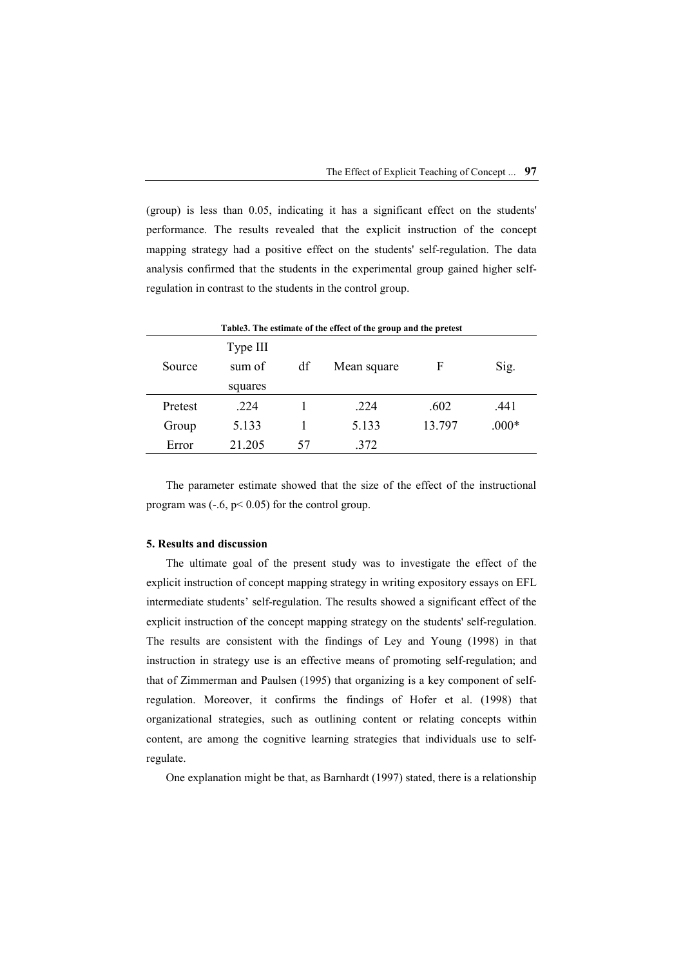(group) is less than 0.05, indicating it has a significant effect on the students' performance. The results revealed that the explicit instruction of the concept mapping strategy had a positive effect on the students' self-regulation. The data analysis confirmed that the students in the experimental group gained higher selfregulation in contrast to the students in the control group.

| Table 3. The estimate of the effect of the group and the pretest |                    |    |             |        |         |  |  |  |
|------------------------------------------------------------------|--------------------|----|-------------|--------|---------|--|--|--|
| Source                                                           | Type III<br>sum of | df | Mean square | F      | Sig.    |  |  |  |
|                                                                  | squares            |    |             |        |         |  |  |  |
| Pretest                                                          | 224                |    | .224        | .602   | .441    |  |  |  |
| Group                                                            | 5.133              |    | 5.133       | 13 797 | $.000*$ |  |  |  |
| Error                                                            | 21.205             | 57 | 372         |        |         |  |  |  |

The parameter estimate showed that the size of the effect of the instructional program was  $(-6, p<0.05)$  for the control group.

#### **5. Results and discussion**

The ultimate goal of the present study was to investigate the effect of the explicit instruction of concept mapping strategy in writing expository essays on EFL intermediate students' self-regulation. The results showed a significant effect of the explicit instruction of the concept mapping strategy on the students' self-regulation. The results are consistent with the findings of Ley and Young (1998) in that instruction in strategy use is an effective means of promoting self-regulation; and that of Zimmerman and Paulsen (1995) that organizing is a key component of selfregulation. Moreover, it confirms the findings of Hofer et al. (1998) that organizational strategies, such as outlining content or relating concepts within content, are among the cognitive learning strategies that individuals use to selfregulate.

One explanation might be that, as Barnhardt (1997) stated, there is a relationship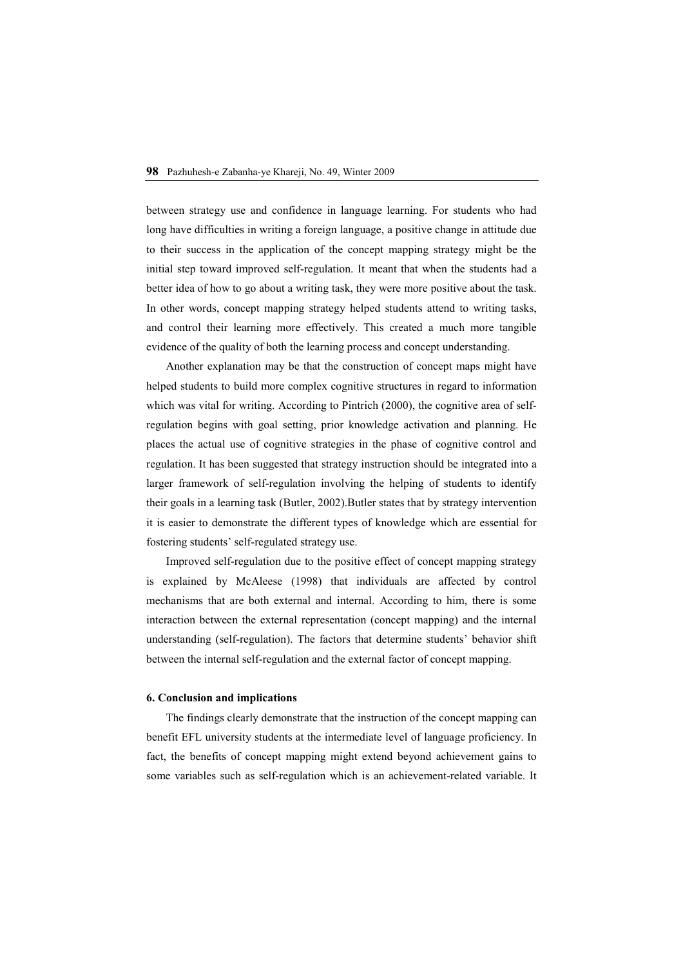between strategy use and confidence in language learning. For students who had long have difficulties in writing a foreign language, a positive change in attitude due to their success in the application of the concept mapping strategy might be the initial step toward improved self-regulation. It meant that when the students had a better idea of how to go about a writing task, they were more positive about the task. In other words, concept mapping strategy helped students attend to writing tasks, and control their learning more effectively. This created a much more tangible evidence of the quality of both the learning process and concept understanding.

Another explanation may be that the construction of concept maps might have helped students to build more complex cognitive structures in regard to information which was vital for writing. According to Pintrich (2000), the cognitive area of selfregulation begins with goal setting, prior knowledge activation and planning. He places the actual use of cognitive strategies in the phase of cognitive control and regulation. It has been suggested that strategy instruction should be integrated into a larger framework of self-regulation involving the helping of students to identify their goals in a learning task (Butler, 2002).Butler states that by strategy intervention it is easier to demonstrate the different types of knowledge which are essential for fostering students' self-regulated strategy use.

Improved self-regulation due to the positive effect of concept mapping strategy is explained by McAleese (1998) that individuals are affected by control mechanisms that are both external and internal. According to him, there is some interaction between the external representation (concept mapping) and the internal understanding (self-regulation). The factors that determine students' behavior shift between the internal self-regulation and the external factor of concept mapping.

#### **6. Conclusion and implications**

The findings clearly demonstrate that the instruction of the concept mapping can benefit EFL university students at the intermediate level of language proficiency. In fact, the benefits of concept mapping might extend beyond achievement gains to some variables such as self-regulation which is an achievement-related variable. It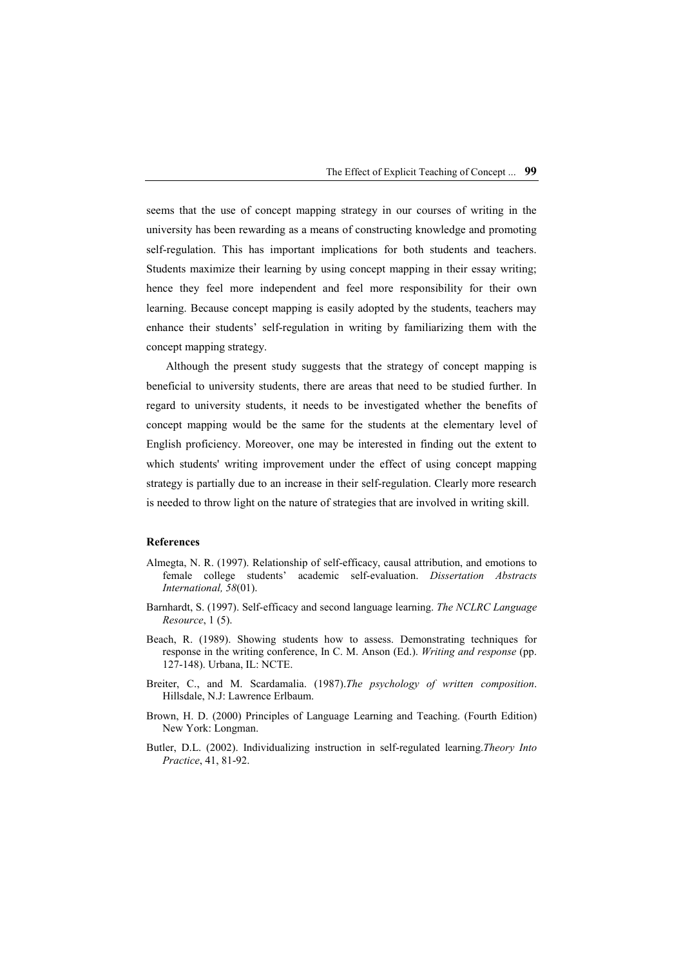seems that the use of concept mapping strategy in our courses of writing in the university has been rewarding as a means of constructing knowledge and promoting self-regulation. This has important implications for both students and teachers. Students maximize their learning by using concept mapping in their essay writing; hence they feel more independent and feel more responsibility for their own learning. Because concept mapping is easily adopted by the students, teachers may enhance their students' self-regulation in writing by familiarizing them with the concept mapping strategy.

Although the present study suggests that the strategy of concept mapping is beneficial to university students, there are areas that need to be studied further. In regard to university students, it needs to be investigated whether the benefits of concept mapping would be the same for the students at the elementary level of English proficiency. Moreover, one may be interested in finding out the extent to which students' writing improvement under the effect of using concept mapping strategy is partially due to an increase in their self-regulation. Clearly more research is needed to throw light on the nature of strategies that are involved in writing skill.

#### **References**

- Almegta, N. R. (1997). Relationship of self-efficacy, causal attribution, and emotions to female college students' academic self-evaluation. *Dissertation Abstracts International, 58*(01).
- Barnhardt, S. (1997). Self-efficacy and second language learning. *The NCLRC Language Resource*, 1 (5).
- Beach, R. (1989). Showing students how to assess. Demonstrating techniques for response in the writing conference, In C. M. Anson (Ed.). *Writing and response* (pp. 127-148). Urbana, IL: NCTE.
- Breiter, C., and M. Scardamalia. (1987).*The psychology of written composition*. Hillsdale, N.J: Lawrence Erlbaum.
- Brown, H. D. (2000) Principles of Language Learning and Teaching. (Fourth Edition) New York: Longman.
- Butler, D.L. (2002). Individualizing instruction in self-regulated learning.*Theory Into Practice*, 41, 81-92.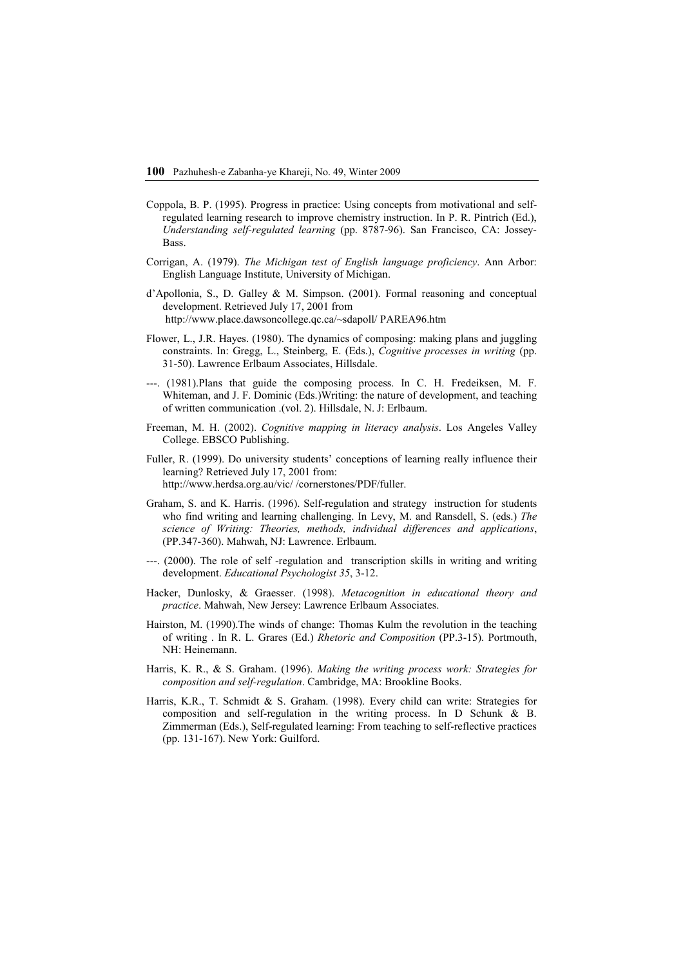- Coppola, B. P. (1995). Progress in practice: Using concepts from motivational and selfregulated learning research to improve chemistry instruction. In P. R. Pintrich (Ed.), *Understanding self-regulated learning* (pp. 8787-96). San Francisco, CA: Jossey-**Bass**.
- Corrigan, A. (1979). *The Michigan test of English language proficiency*. Ann Arbor: English Language Institute, University of Michigan.
- d'Apollonia, S., D. Galley & M. Simpson. (2001). Formal reasoning and conceptual development. Retrieved July 17, 2001 from http://www.place.dawsoncollege.qc.ca/~sdapoll/ PAREA96.htm
- Flower, L., J.R. Hayes. (1980). The dynamics of composing: making plans and juggling constraints. In: Gregg, L., Steinberg, E. (Eds.), *Cognitive processes in writing* (pp. 31-50). Lawrence Erlbaum Associates, Hillsdale.
- ---. (1981).Plans that guide the composing process. In C. H. Fredeiksen, M. F. Whiteman, and J. F. Dominic (Eds.)Writing: the nature of development, and teaching of written communication .(vol. 2). Hillsdale, N. J: Erlbaum.
- Freeman, M. H. (2002). *Cognitive mapping in literacy analysis*. Los Angeles Valley College. EBSCO Publishing.
- Fuller, R. (1999). Do university students' conceptions of learning really influence their learning? Retrieved July 17, 2001 from: http://www.herdsa.org.au/vic/ /cornerstones/PDF/fuller.
- Graham, S. and K. Harris. (1996). Self-regulation and strategy instruction for students who find writing and learning challenging. In Levy, M. and Ransdell, S. (eds.) *The science of Writing: Theories, methods, individual differences and applications*, (PP.347-360). Mahwah, NJ: Lawrence. Erlbaum.
- ---. (2000). The role of self -regulation and transcription skills in writing and writing development. *Educational Psychologist 35*, 3-12.
- Hacker, Dunlosky, & Graesser. (1998). *Metacognition in educational theory and practice*. Mahwah, New Jersey: Lawrence Erlbaum Associates.
- Hairston, M. (1990).The winds of change: Thomas Kulm the revolution in the teaching of writing . In R. L. Grares (Ed.) *Rhetoric and Composition* (PP.3-15). Portmouth, NH: Heinemann.
- Harris, K. R., & S. Graham. (1996). *Making the writing process work: Strategies for composition and self-regulation*. Cambridge, MA: Brookline Books.
- Harris, K.R., T. Schmidt & S. Graham. (1998). Every child can write: Strategies for composition and self-regulation in the writing process. In D Schunk & B. Zimmerman (Eds.), Self-regulated learning: From teaching to self-reflective practices (pp. 131-167). New York: Guilford.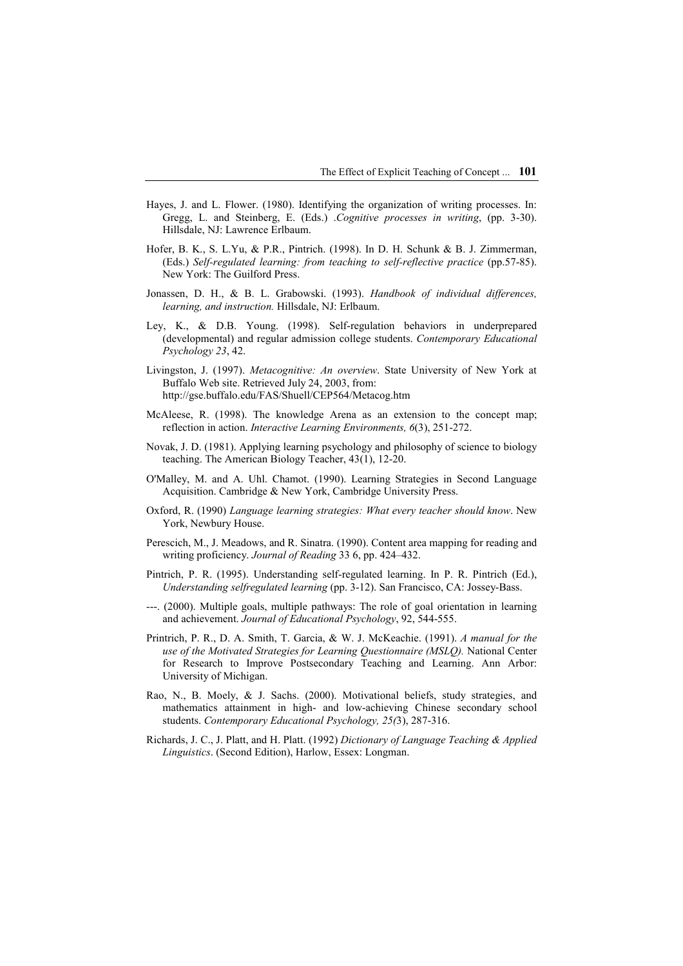- Hayes, J. and L. Flower. (1980). Identifying the organization of writing processes. In: Gregg, L. and Steinberg, E. (Eds.) .*Cognitive processes in writing*, (pp. 3-30). Hillsdale, NJ: Lawrence Erlbaum.
- Hofer, B. K., S. L.Yu, & P.R., Pintrich. (1998). In D. H. Schunk & B. J. Zimmerman, (Eds.) *Self-regulated learning: from teaching to self-reflective practice* (pp.57-85). New York: The Guilford Press.
- Jonassen, D. H., & B. L. Grabowski. (1993). *Handbook of individual differences, learning, and instruction.* Hillsdale, NJ: Erlbaum.
- Ley, K., & D.B. Young. (1998). Self-regulation behaviors in underprepared (developmental) and regular admission college students. *Contemporary Educational Psychology 23*, 42.
- Livingston, J. (1997). *Metacognitive: An overview*. State University of New York at Buffalo Web site. Retrieved July 24, 2003, from: http://gse.buffalo.edu/FAS/Shuell/CEP564/Metacog.htm
- McAleese, R. (1998). The knowledge Arena as an extension to the concept map; reflection in action. *Interactive Learning Environments, 6*(3), 251-272.
- Novak, J. D. (1981). Applying learning psychology and philosophy of science to biology teaching. The American Biology Teacher, 43(1), 12-20.
- O'Malley, M. and A. Uhl. Chamot. (1990). Learning Strategies in Second Language Acquisition. Cambridge & New York, Cambridge University Press.
- Oxford, R. (1990) *Language learning strategies: What every teacher should know*. New York, Newbury House.
- Perescich, M., J. Meadows, and R. Sinatra. (1990). Content area mapping for reading and writing proficiency. *Journal of Reading* 33 6, pp. 424–432.
- Pintrich, P. R. (1995). Understanding self-regulated learning. In P. R. Pintrich (Ed.), *Understanding selfregulated learning* (pp. 3-12). San Francisco, CA: Jossey-Bass.
- ---. (2000). Multiple goals, multiple pathways: The role of goal orientation in learning and achievement. *Journal of Educational Psychology*, 92, 544-555.
- Printrich, P. R., D. A. Smith, T. Garcia, & W. J. McKeachie. (1991). *A manual for the use of the Motivated Strategies for Learning Questionnaire (MSLQ).* National Center for Research to Improve Postsecondary Teaching and Learning. Ann Arbor: University of Michigan.
- Rao, N., B. Moely, & J. Sachs. (2000). Motivational beliefs, study strategies, and mathematics attainment in high- and low-achieving Chinese secondary school students. *Contemporary Educational Psychology, 25(*3), 287-316.
- Richards, J. C., J. Platt, and H. Platt. (1992) *Dictionary of Language Teaching & Applied Linguistics*. (Second Edition), Harlow, Essex: Longman.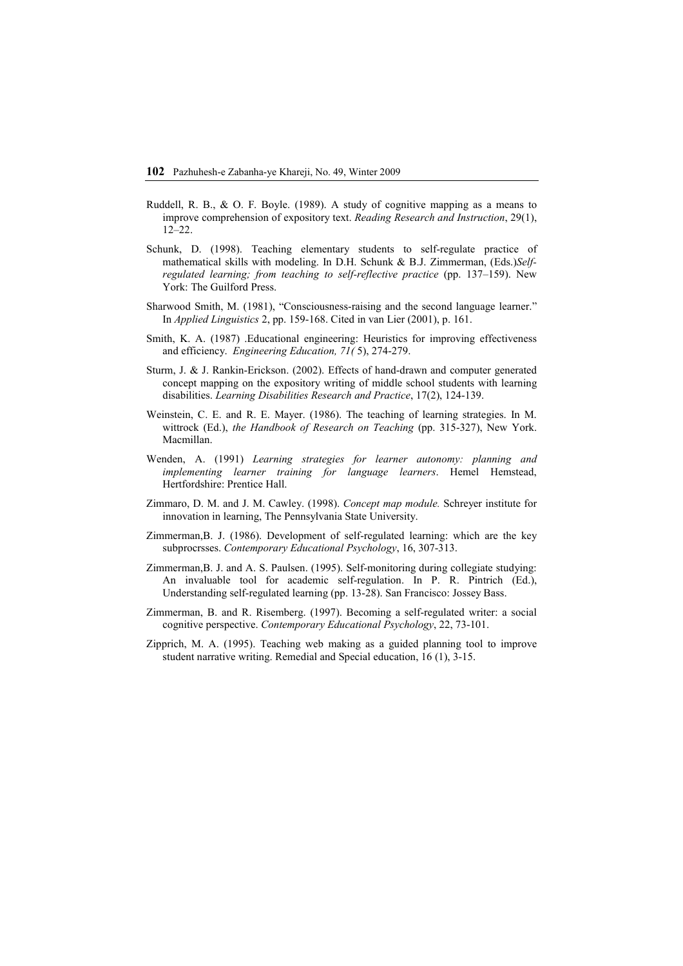- Ruddell, R. B., & O. F. Boyle. (1989). A study of cognitive mapping as a means to improve comprehension of expository text. *Reading Research and Instruction*, 29(1), 12–22.
- Schunk, D. (1998). Teaching elementary students to self-regulate practice of mathematical skills with modeling. In D.H. Schunk & B.J. Zimmerman, (Eds.)*Selfregulated learning; from teaching to self-reflective practice* (pp. 137–159). New York: The Guilford Press.
- Sharwood Smith, M. (1981), "Consciousness-raising and the second language learner." In *Applied Linguistics* 2, pp. 159-168. Cited in van Lier (2001), p. 161.
- Smith, K. A. (1987) .Educational engineering: Heuristics for improving effectiveness and efficiency. *Engineering Education, 71(* 5), 274-279.
- Sturm, J. & J. Rankin-Erickson. (2002). Effects of hand-drawn and computer generated concept mapping on the expository writing of middle school students with learning disabilities. *Learning Disabilities Research and Practice*, 17(2), 124-139.
- Weinstein, C. E. and R. E. Mayer. (1986). The teaching of learning strategies. In M. wittrock (Ed.), *the Handbook of Research on Teaching* (pp. 315-327), New York. Macmillan.
- Wenden, A. (1991) *Learning strategies for learner autonomy: planning and implementing learner training for language learners*. Hemel Hemstead, Hertfordshire: Prentice Hall.
- Zimmaro, D. M. and J. M. Cawley. (1998). *Concept map module.* Schreyer institute for innovation in learning, The Pennsylvania State University.
- Zimmerman,B. J. (1986). Development of self-regulated learning: which are the key subprocrsses. *Contemporary Educational Psychology*, 16, 307-313.
- Zimmerman,B. J. and A. S. Paulsen. (1995). Self-monitoring during collegiate studying: An invaluable tool for academic self-regulation. In P. R. Pintrich (Ed.), Understanding self-regulated learning (pp. 13-28). San Francisco: Jossey Bass.
- Zimmerman, B. and R. Risemberg. (1997). Becoming a self-regulated writer: a social cognitive perspective. *Contemporary Educational Psychology*, 22, 73-101.
- Zipprich, M. A. (1995). Teaching web making as a guided planning tool to improve student narrative writing. Remedial and Special education, 16 (1), 3-15.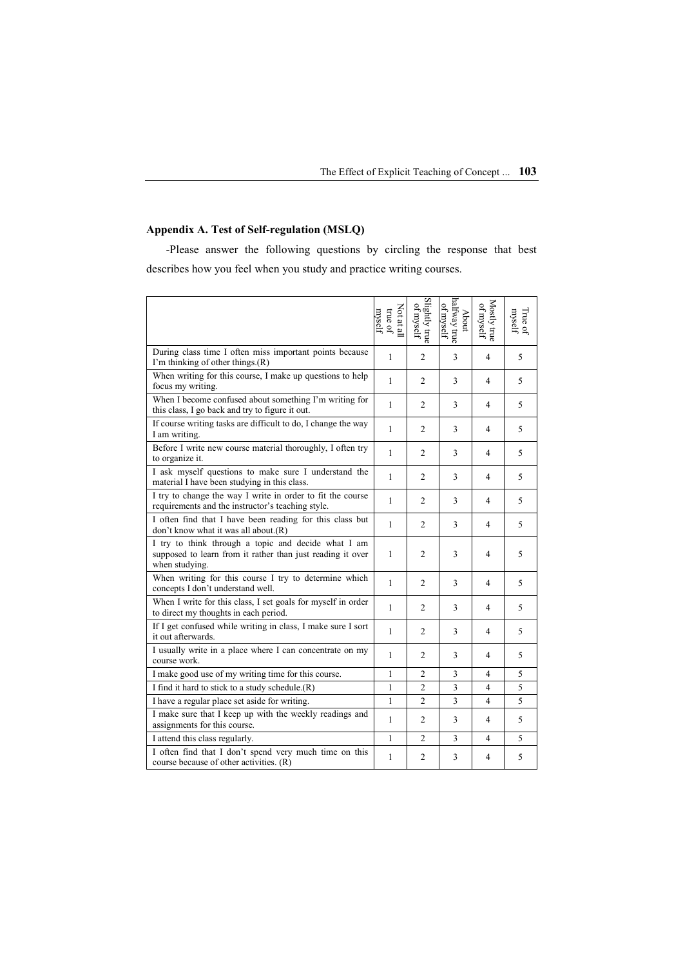# **Appendix A. Test of Self-regulation (MSLQ)**

-Please answer the following questions by circling the response that best describes how you feel when you study and practice writing courses.

|                                                                                                                                     | Not at all<br>true of<br>myself | Slightly true<br>of myself | halfway true<br>of myself<br>About | $Mosty$ true of myself | True of $$\rm{m}$ |
|-------------------------------------------------------------------------------------------------------------------------------------|---------------------------------|----------------------------|------------------------------------|------------------------|-------------------|
| During class time I often miss important points because<br>I'm thinking of other things. $(R)$                                      | 1                               | 2                          | 3                                  | 4                      | 5                 |
| When writing for this course, I make up questions to help<br>focus my writing.                                                      | 1                               | 2                          | 3                                  | $\overline{4}$         | 5                 |
| When I become confused about something I'm writing for<br>this class, I go back and try to figure it out.                           | 1                               | 2                          | 3                                  | $\overline{4}$         | 5                 |
| If course writing tasks are difficult to do, I change the way<br>I am writing.                                                      | 1                               | 2                          | 3                                  | $\overline{4}$         | 5                 |
| Before I write new course material thoroughly, I often try<br>to organize it.                                                       | 1                               | 2                          | 3                                  | $\overline{4}$         | 5                 |
| I ask myself questions to make sure I understand the<br>material I have been studying in this class.                                | 1                               | $\overline{2}$             | 3                                  | 4                      | 5                 |
| I try to change the way I write in order to fit the course<br>requirements and the instructor's teaching style.                     | 1                               | 2                          | 3                                  | 4                      | 5                 |
| I often find that I have been reading for this class but<br>don't know what it was all about.(R)                                    | 1                               | $\mathfrak{2}$             | 3                                  | 4                      | 5                 |
| I try to think through a topic and decide what I am<br>supposed to learn from it rather than just reading it over<br>when studying. | 1                               | 2                          | 3                                  | 4                      | 5                 |
| When writing for this course I try to determine which<br>concepts I don't understand well.                                          | 1                               | $\overline{c}$             | 3                                  | 4                      | 5                 |
| When I write for this class, I set goals for myself in order<br>to direct my thoughts in each period.                               | 1                               | $\overline{c}$             | 3                                  | 4                      | 5                 |
| If I get confused while writing in class, I make sure I sort<br>it out afterwards.                                                  | 1                               | 2                          | 3                                  | 4                      | 5                 |
| I usually write in a place where I can concentrate on my<br>course work.                                                            | 1                               | $\overline{c}$             | 3                                  | 4                      | 5                 |
| I make good use of my writing time for this course.                                                                                 | 1                               | $\overline{2}$             | 3                                  | $\overline{4}$         | 5                 |
| I find it hard to stick to a study schedule.(R)                                                                                     | 1                               | $\overline{2}$             | $\overline{\mathbf{3}}$            | $\overline{4}$         | 5                 |
| I have a regular place set aside for writing.                                                                                       | 1                               | 2                          | $\overline{3}$                     | 4                      | 5                 |
| I make sure that I keep up with the weekly readings and<br>assignments for this course.                                             | 1                               | 2                          | 3                                  | 4                      | 5                 |
| I attend this class regularly.                                                                                                      | 1                               | $\overline{c}$             | 3                                  | $\overline{4}$         | 5                 |
| I often find that I don't spend very much time on this<br>course because of other activities. (R)                                   | 1                               | $\overline{2}$             | 3                                  | 4                      | 5                 |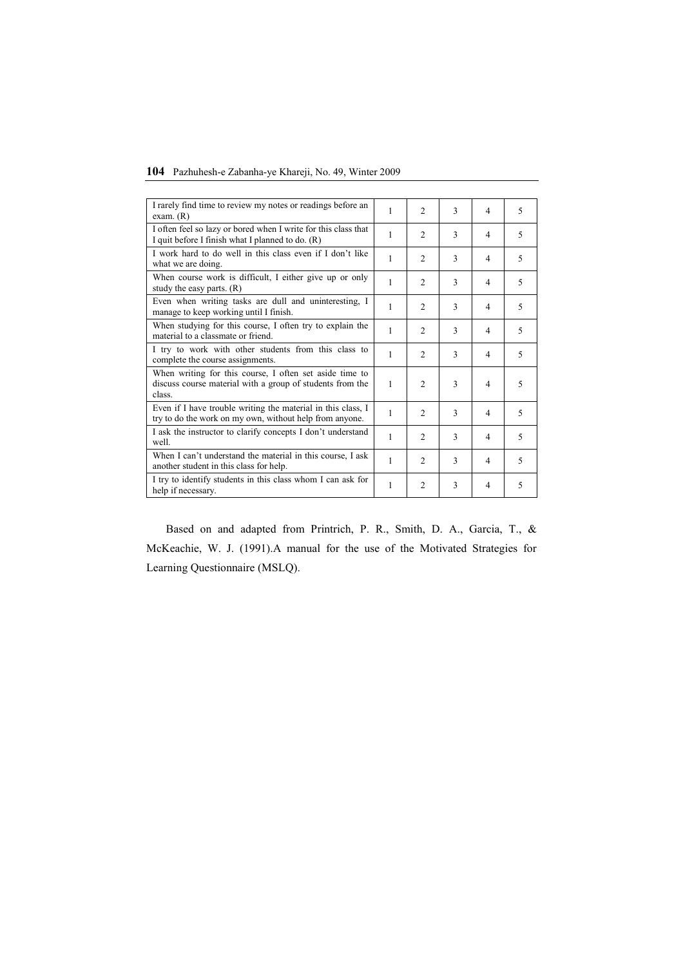# **104** Pazhuhesh-e Zabanha-ye Khareji, No. 49, Winter 2009

| I rarely find time to review my notes or readings before an<br>exam. (R)                                                       | 1 | $\overline{2}$ | 3 | 4              | 5                        |
|--------------------------------------------------------------------------------------------------------------------------------|---|----------------|---|----------------|--------------------------|
| I often feel so lazy or bored when I write for this class that<br>I quit before I finish what I planned to do. (R)             | 1 | $\overline{c}$ | 3 | $\overline{4}$ | 5                        |
| I work hard to do well in this class even if I don't like<br>what we are doing.                                                | 1 | $\mathfrak{D}$ | 3 | $\overline{4}$ | 5                        |
| When course work is difficult. I either give up or only<br>study the easy parts. $(R)$                                         | 1 | $\overline{2}$ | 3 | $\overline{4}$ | 5                        |
| Even when writing tasks are dull and uninteresting, I<br>manage to keep working until I finish.                                | 1 | $\overline{2}$ | 3 | $\overline{4}$ | 5                        |
| When studying for this course, I often try to explain the<br>material to a classmate or friend.                                | 1 | $\overline{2}$ | 3 | $\overline{4}$ | $\overline{5}$           |
| I try to work with other students from this class to<br>complete the course assignments.                                       | 1 | $\overline{c}$ | 3 | $\overline{4}$ | $\overline{\phantom{0}}$ |
| When writing for this course, I often set aside time to<br>discuss course material with a group of students from the<br>class. | 1 | $\overline{2}$ | 3 | $\overline{4}$ | 5                        |
| Even if I have trouble writing the material in this class, I<br>try to do the work on my own, without help from anyone.        | 1 | $\overline{c}$ | 3 | $\overline{4}$ | 5                        |
| I ask the instructor to clarify concepts I don't understand<br>well.                                                           | 1 | $\overline{2}$ | 3 | $\overline{4}$ | 5                        |
| When I can't understand the material in this course, I ask<br>another student in this class for help.                          | 1 | $\mathfrak{D}$ | 3 | $\overline{4}$ | 5                        |
| I try to identify students in this class whom I can ask for<br>help if necessary.                                              | 1 | $\overline{2}$ | 3 | $\overline{4}$ | 5                        |

Based on and adapted from Printrich, P. R., Smith, D. A., Garcia, T., & McKeachie, W. J. (1991).A manual for the use of the Motivated Strategies for Learning Questionnaire (MSLQ).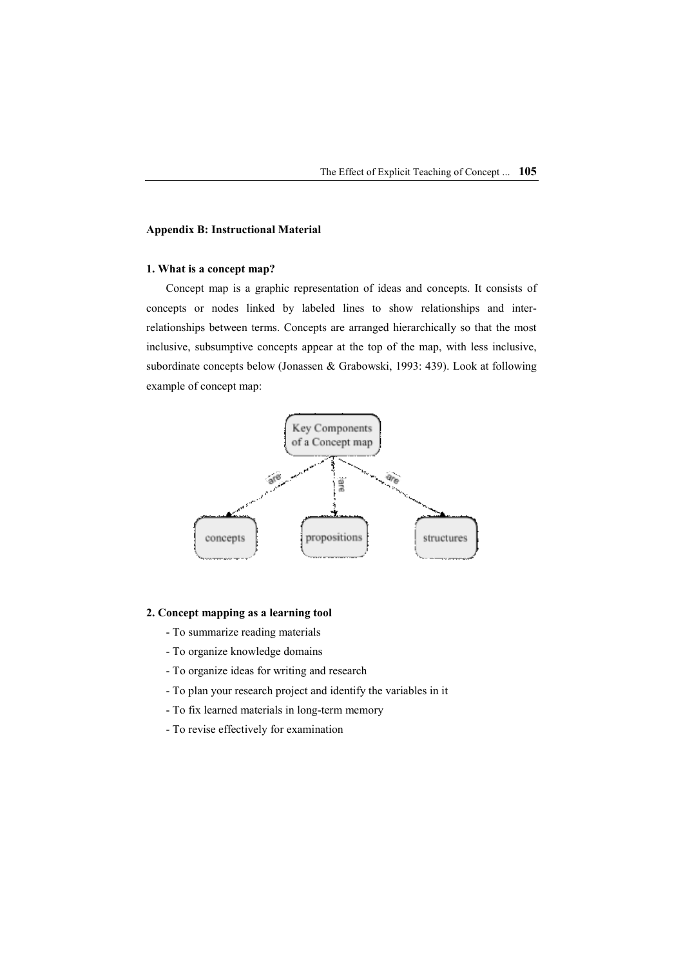# **Appendix B: Instructional Material**

# **1. What is a concept map?**

Concept map is a graphic representation of ideas and concepts. It consists of concepts or nodes linked by labeled lines to show relationships and interrelationships between terms. Concepts are arranged hierarchically so that the most inclusive, subsumptive concepts appear at the top of the map, with less inclusive, subordinate concepts below (Jonassen & Grabowski, 1993: 439). Look at following example of concept map:



# **2. Concept mapping as a learning tool**

- To summarize reading materials
- To organize knowledge domains
- To organize ideas for writing and research
- To plan your research project and identify the variables in it
- To fix learned materials in long-term memory
- To revise effectively for examination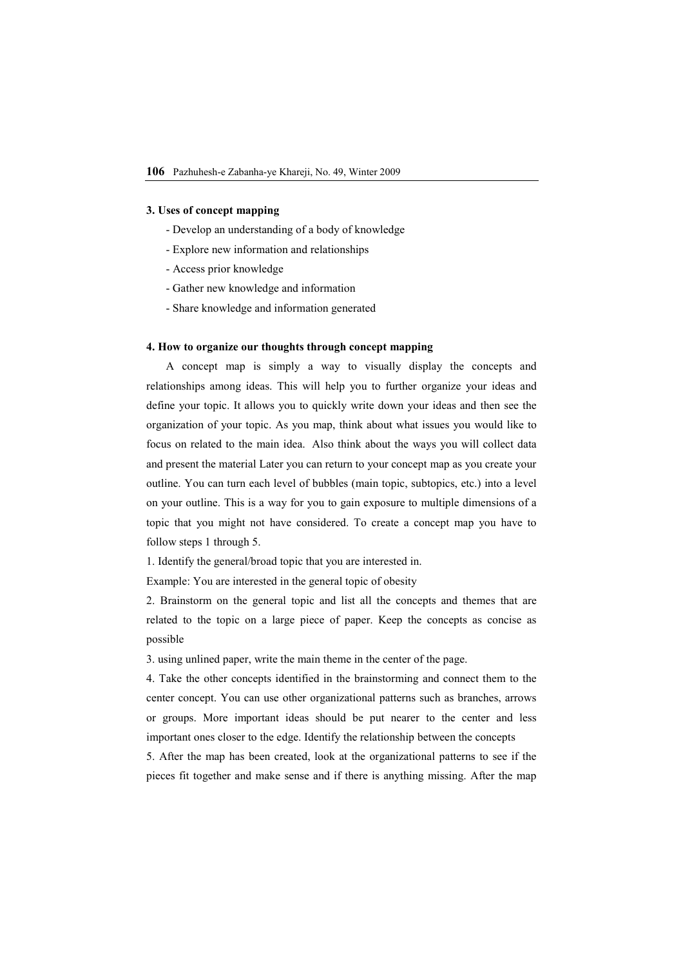#### **3. Uses of concept mapping**

- Develop an understanding of a body of knowledge
- Explore new information and relationships
- Access prior knowledge
- Gather new knowledge and information
- Share knowledge and information generated

## **4. How to organize our thoughts through concept mapping**

A concept map is simply a way to visually display the concepts and relationships among ideas. This will help you to further organize your ideas and define your topic. It allows you to quickly write down your ideas and then see the organization of your topic. As you map, think about what issues you would like to focus on related to the main idea. Also think about the ways you will collect data and present the material Later you can return to your concept map as you create your outline. You can turn each level of bubbles (main topic, subtopics, etc.) into a level on your outline. This is a way for you to gain exposure to multiple dimensions of a topic that you might not have considered. To create a concept map you have to follow steps 1 through 5.

1. Identify the general/broad topic that you are interested in.

Example: You are interested in the general topic of obesity

2. Brainstorm on the general topic and list all the concepts and themes that are related to the topic on a large piece of paper. Keep the concepts as concise as possible

3. using unlined paper, write the main theme in the center of the page.

4. Take the other concepts identified in the brainstorming and connect them to the center concept. You can use other organizational patterns such as branches, arrows or groups. More important ideas should be put nearer to the center and less important ones closer to the edge. Identify the relationship between the concepts

5. After the map has been created, look at the organizational patterns to see if the pieces fit together and make sense and if there is anything missing. After the map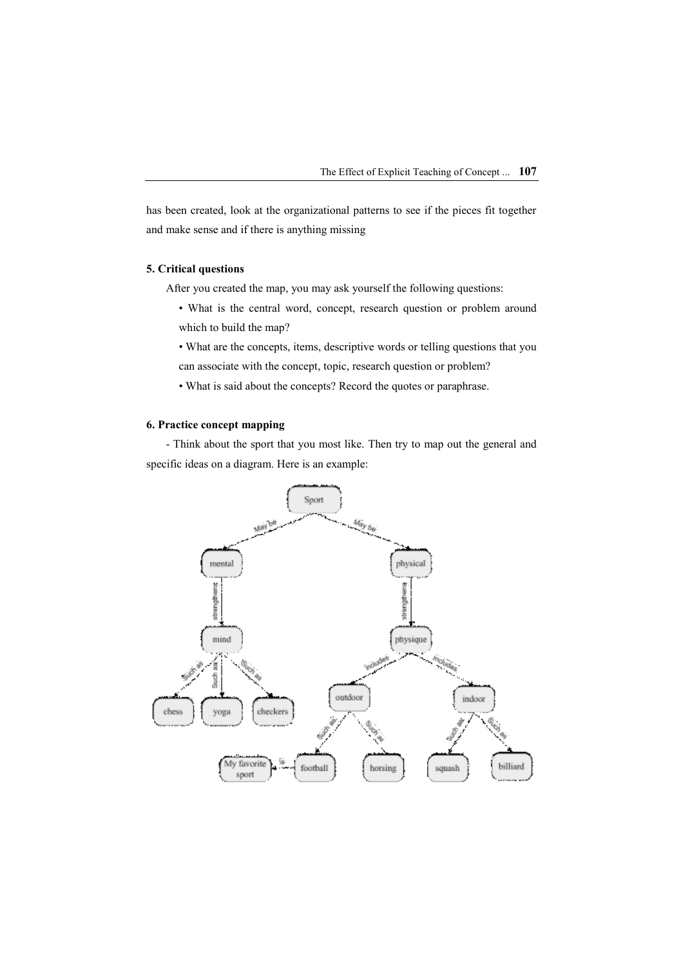has been created, look at the organizational patterns to see if the pieces fit together and make sense and if there is anything missing

# **5. Critical questions**

After you created the map, you may ask yourself the following questions:

- What is the central word, concept, research question or problem around which to build the map?
- What are the concepts, items, descriptive words or telling questions that you can associate with the concept, topic, research question or problem?
- What is said about the concepts? Record the quotes or paraphrase.

# **6. Practice concept mapping**

- Think about the sport that you most like. Then try to map out the general and specific ideas on a diagram. Here is an example: